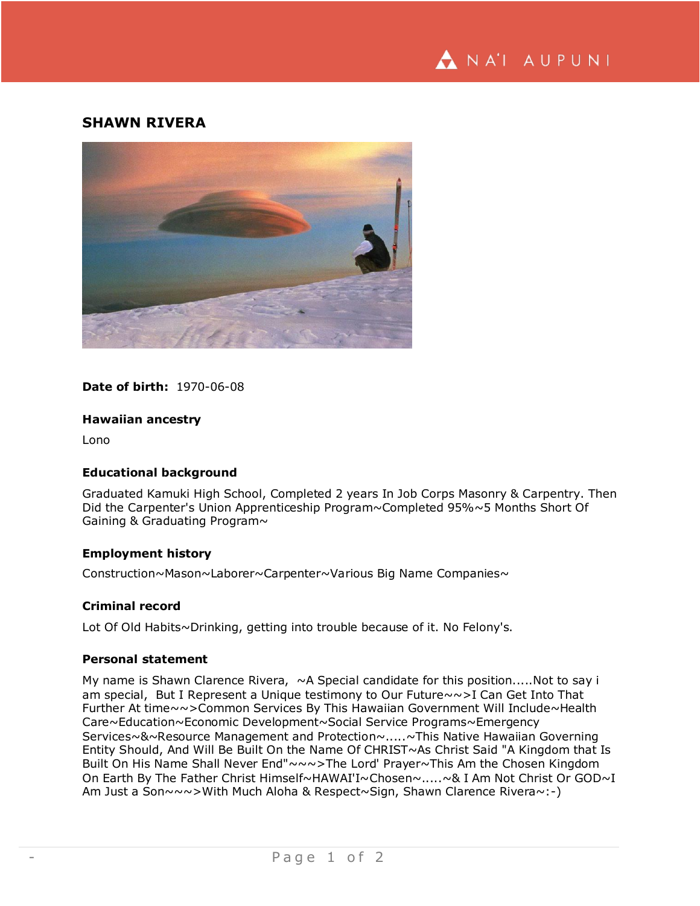

# **SHAWN RIVERA**



**Date of birth:** 1970-06-08

### **Hawaiian ancestry**

Lono

### **Educational background**

Graduated Kamuki High School, Completed 2 years In Job Corps Masonry & Carpentry. Then Did the Carpenter's Union Apprenticeship Program~Completed 95%~5 Months Short Of Gaining & Graduating Program~

## **Employment history**

Construction~Mason~Laborer~Carpenter~Various Big Name Companies~

### **Criminal record**

Lot Of Old Habits~Drinking, getting into trouble because of it. No Felony's.

### **Personal statement**

My name is Shawn Clarence Rivera,  $\sim$  A Special candidate for this position.....Not to say i am special, But I Represent a Unique testimony to Our Future~~>I Can Get Into That Further At time~~>Common Services By This Hawaiian Government Will Include~Health Care~Education~Economic Development~Social Service Programs~Emergency Services~&~Resource Management and Protection~.....~This Native Hawaiian Governing Entity Should, And Will Be Built On the Name Of CHRIST~As Christ Said "A Kingdom that Is Built On His Name Shall Never End"~~~>The Lord' Prayer~This Am the Chosen Kingdom On Earth By The Father Christ Himself~HAWAI'I~Chosen~.....~& I Am Not Christ Or GOD~I Am Just a Son~~~>With Much Aloha & Respect~Sign, Shawn Clarence Rivera~:-)